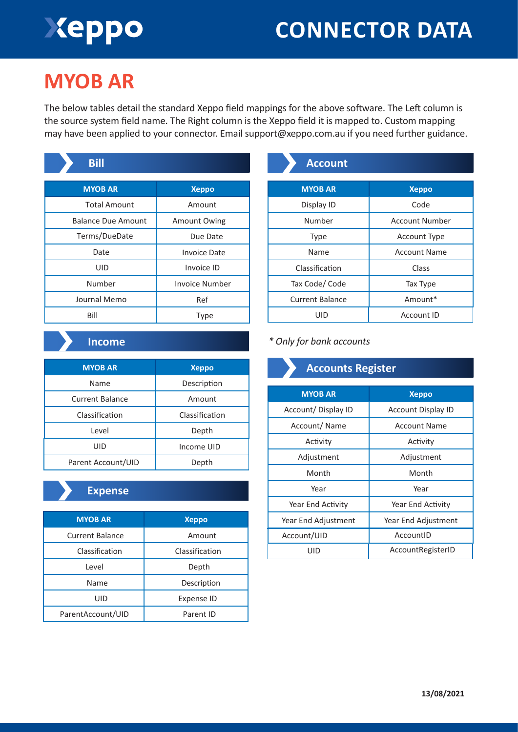# Xeppo

# **CONNECTOR DATA**

## **MYOB AR**

The below tables detail the standard Xeppo field mappings for the above software. The Left column is the source system field name. The Right column is the Xeppo field it is mapped to. Custom mapping may have been applied to your connector. Email support@xeppo.com.au if you need further guidance.

| <b>Bill</b>               |                       |
|---------------------------|-----------------------|
| <b>MYOB AR</b>            | <b>Xeppo</b>          |
| <b>Total Amount</b>       | Amount                |
| <b>Balance Due Amount</b> | <b>Amount Owing</b>   |
| Terms/DueDate             | Due Date              |
| Date                      | <b>Invoice Date</b>   |
| <b>UID</b>                | Invoice ID            |
| Number                    | <b>Invoice Number</b> |
| Journal Memo              | Ref                   |
| Bill                      | <b>Type</b>           |

### **Account**

| <b>MYOB AR</b>         | <b>Xeppo</b>          |
|------------------------|-----------------------|
| Display ID             | Code                  |
| Number                 | <b>Account Number</b> |
| <b>Type</b>            | <b>Account Type</b>   |
| Name                   | <b>Account Name</b>   |
| Classification         | Class                 |
| Tax Code/Code          | Tax Type              |
| <b>Current Balance</b> | Amount*               |
| UID                    | Account ID            |

#### **Income**

| <b>MYOB AR</b>         | <b>Xeppo</b>   |
|------------------------|----------------|
| Name                   | Description    |
| <b>Current Balance</b> | Amount         |
| Classification         | Classification |
| Level                  | Depth          |
| UID                    | Income UID     |
| Parent Account/UID     | Depth          |
|                        |                |

### **Expense**

| <b>MYOB AR</b>         | <b>Xeppo</b>   |
|------------------------|----------------|
| <b>Current Balance</b> | Amount         |
| Classification         | Classification |
| Level                  | Depth          |
| Name                   | Description    |
| UID                    | Expense ID     |
| ParentAccount/UID      | Parent ID      |

#### *\* Only for bank accounts*

| <b>Accounts Register</b> |                           |
|--------------------------|---------------------------|
| <b>MYOB AR</b>           | <b>Xeppo</b>              |
| Account/Display ID       | <b>Account Display ID</b> |
| Account/Name             | <b>Account Name</b>       |
| Activity                 | Activity                  |
| Adjustment               | Adjustment                |
| Month                    | Month                     |
| Year                     | Year                      |
| Year End Activity        | Year End Activity         |
| Year End Adjustment      | Year End Adjustment       |
| Account/UID              | AccountID                 |
| UID                      | AccountRegisterID         |